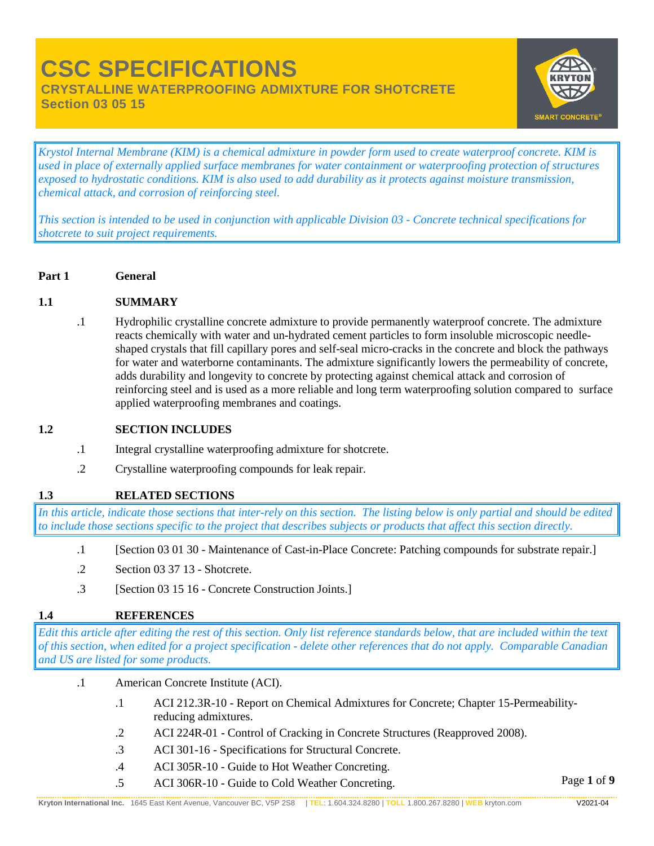**CRYSTALLINE WATERPROOFING ADMIXTURE FOR SHOTCRETE**

**Section 03 05 15** 



*Krystol Internal Membrane (KIM) is a chemical admixture in powder form used to create waterproof concrete. KIM is used in place of externally applied surface membranes for water containment or waterproofing protection of structures exposed to hydrostatic conditions. KIM is also used to add durability as it protects against moisture transmission, chemical attack, and corrosion of reinforcing steel.*

*This section is intended to be used in conjunction with applicable Division 03 - Concrete technical specifications for shotcrete to suit project requirements.*

**Part 1 General**

### **1.1 SUMMARY**

.1 Hydrophilic crystalline concrete admixture to provide permanently waterproof concrete. The admixture reacts chemically with water and un-hydrated cement particles to form insoluble microscopic needleshaped crystals that fill capillary pores and self-seal micro-cracks in the concrete and block the pathways for water and waterborne contaminants. The admixture significantly lowers the permeability of concrete, adds durability and longevity to concrete by protecting against chemical attack and corrosion of reinforcing steel and is used as a more reliable and long term waterproofing solution compared to surface applied waterproofing membranes and coatings.

### **1.2 SECTION INCLUDES**

- .1 Integral crystalline waterproofing admixture for shotcrete.
- .2 Crystalline waterproofing compounds for leak repair.

# **1.3 RELATED SECTIONS**

*In this article, indicate those sections that inter-rely on this section. The listing below is only partial and should be edited to include those sections specific to the project that describes subjects or products that affect this section directly.*

- .1 [Section 03 01 30 Maintenance of Cast-in-Place Concrete: Patching compounds for substrate repair.]
- .2 Section 03 37 13 Shotcrete.
- .3 [Section 03 15 16 Concrete Construction Joints.]

# **1.4 REFERENCES**

*Edit this article after editing the rest of this section. Only list reference standards below, that are included within the text of this section, when edited for a project specification - delete other references that do not apply. Comparable Canadian and US are listed for some products.*

- .1 American Concrete Institute (ACI).
	- .1 ACI 212.3R-10 Report on Chemical Admixtures for Concrete; Chapter 15-Permeabilityreducing admixtures.
	- .2 ACI 224R-01 Control of Cracking in Concrete Structures (Reapproved 2008).
	- .3 ACI 301-16 Specifications for Structural Concrete.
	- .4 ACI 305R-10 Guide to Hot Weather Concreting.
	- .5 ACI 306R-10 Guide to Cold Weather Concreting.

Page **1** of **9**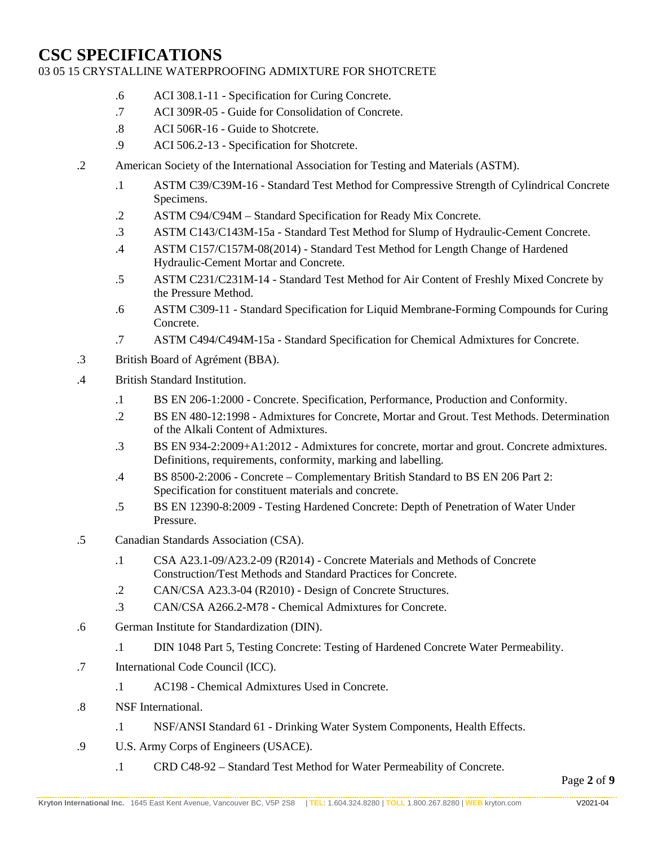# 03 05 15 CRYSTALLINE WATERPROOFING ADMIXTURE FOR SHOTCRETE

- .6 ACI 308.1-11 Specification for Curing Concrete.
- .7 ACI 309R-05 Guide for Consolidation of Concrete.
- .8 ACI 506R-16 Guide to Shotcrete.
- .9 ACI 506.2-13 Specification for Shotcrete.
- .2 American Society of the International Association for Testing and Materials (ASTM).
	- .1 ASTM C39/C39M-16 Standard Test Method for Compressive Strength of Cylindrical Concrete Specimens.
	- .2 ASTM C94/C94M Standard Specification for Ready Mix Concrete.
	- .3 ASTM C143/C143M-15a Standard Test Method for Slump of Hydraulic-Cement Concrete.
	- .4 ASTM C157/C157M-08(2014) Standard Test Method for Length Change of Hardened Hydraulic-Cement Mortar and Concrete.
	- .5 ASTM C231/C231M-14 Standard Test Method for Air Content of Freshly Mixed Concrete by the Pressure Method.
	- .6 ASTM C309-11 Standard Specification for Liquid Membrane-Forming Compounds for Curing Concrete.
	- .7 ASTM C494/C494M-15a Standard Specification for Chemical Admixtures for Concrete.
- .3 British Board of Agrément (BBA).
- .4 British Standard Institution.
	- .1 BS EN 206-1:2000 Concrete. Specification, Performance, Production and Conformity.
	- .2 BS EN 480-12:1998 Admixtures for Concrete, Mortar and Grout. Test Methods. Determination of the Alkali Content of Admixtures.
	- .3 BS EN 934-2:2009+A1:2012 Admixtures for concrete, mortar and grout. Concrete admixtures. Definitions, requirements, conformity, marking and labelling.
	- .4 BS 8500-2:2006 Concrete Complementary British Standard to BS EN 206 Part 2: Specification for constituent materials and concrete.
	- .5 BS EN 12390-8:2009 Testing Hardened Concrete: Depth of Penetration of Water Under Pressure.
- .5 Canadian Standards Association (CSA).
	- .1 CSA A23.1-09/A23.2-09 (R2014) Concrete Materials and Methods of Concrete Construction/Test Methods and Standard Practices for Concrete.
	- .2 CAN/CSA A23.3-04 (R2010) Design of Concrete Structures.
	- .3 CAN/CSA A266.2-M78 Chemical Admixtures for Concrete.
- .6 German Institute for Standardization (DIN).
	- .1 DIN 1048 Part 5, Testing Concrete: Testing of Hardened Concrete Water Permeability.
- .7 International Code Council (ICC).
	- .1 AC198 Chemical Admixtures Used in Concrete.
- .8 NSF International.
	- .1 NSF/ANSI Standard 61 Drinking Water System Components, Health Effects.
- .9 U.S. Army Corps of Engineers (USACE).
	- .1 CRD C48-92 Standard Test Method for Water Permeability of Concrete.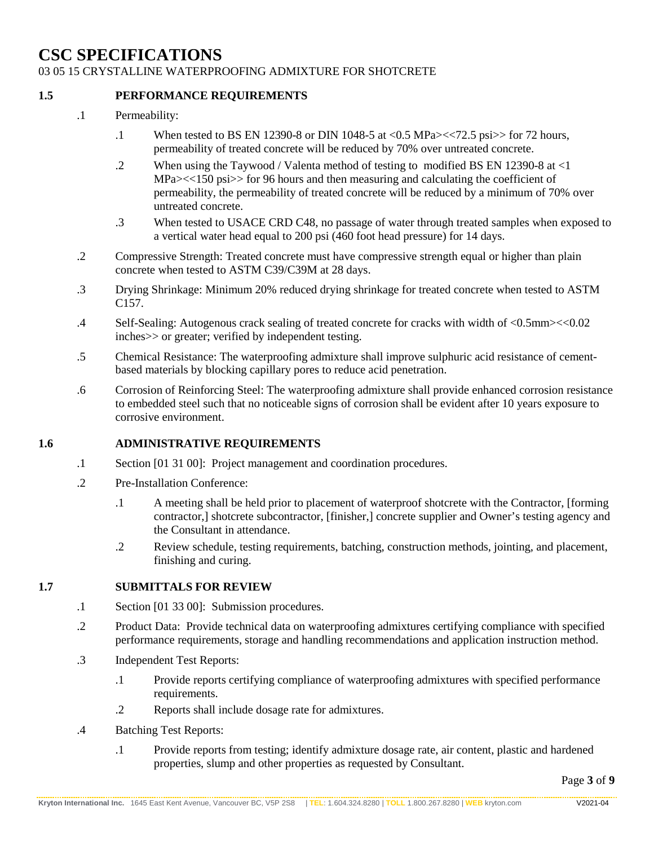### 03 05 15 CRYSTALLINE WATERPROOFING ADMIXTURE FOR SHOTCRETE

### **1.5 PERFORMANCE REQUIREMENTS**

- .1 Permeability:
	- .1 When tested to BS EN 12390-8 or DIN 1048-5 at <0.5 MPa><<72.5 psi>> for 72 hours, permeability of treated concrete will be reduced by 70% over untreated concrete.
	- .2 When using the Taywood / Valenta method of testing to modified BS EN 12390-8 at <1 MPa $\ge$  < 150 psi >> for 96 hours and then measuring and calculating the coefficient of permeability, the permeability of treated concrete will be reduced by a minimum of 70% over untreated concrete.
	- .3 When tested to USACE CRD C48, no passage of water through treated samples when exposed to a vertical water head equal to 200 psi (460 foot head pressure) for 14 days.
- .2 Compressive Strength: Treated concrete must have compressive strength equal or higher than plain concrete when tested to ASTM C39/C39M at 28 days.
- .3 Drying Shrinkage: Minimum 20% reduced drying shrinkage for treated concrete when tested to ASTM C157.
- .4 Self-Sealing: Autogenous crack sealing of treated concrete for cracks with width of <0.5mm><<0.02 inches>> or greater; verified by independent testing.
- .5 Chemical Resistance: The waterproofing admixture shall improve sulphuric acid resistance of cementbased materials by blocking capillary pores to reduce acid penetration.
- .6 Corrosion of Reinforcing Steel: The waterproofing admixture shall provide enhanced corrosion resistance to embedded steel such that no noticeable signs of corrosion shall be evident after 10 years exposure to corrosive environment.

### **1.6 ADMINISTRATIVE REQUIREMENTS**

- .1 Section [01 31 00]: Project management and coordination procedures.
- .2 Pre-Installation Conference:
	- .1 A meeting shall be held prior to placement of waterproof shotcrete with the Contractor, [forming contractor,] shotcrete subcontractor, [finisher,] concrete supplier and Owner's testing agency and the Consultant in attendance.
	- .2 Review schedule, testing requirements, batching, construction methods, jointing, and placement, finishing and curing.

### **1.7 SUBMITTALS FOR REVIEW**

- .1 Section [01 33 00]: Submission procedures.
- .2 Product Data: Provide technical data on waterproofing admixtures certifying compliance with specified performance requirements, storage and handling recommendations and application instruction method.
- .3 Independent Test Reports:
	- .1 Provide reports certifying compliance of waterproofing admixtures with specified performance requirements.
	- .2 Reports shall include dosage rate for admixtures.
- .4 Batching Test Reports:
	- .1 Provide reports from testing; identify admixture dosage rate, air content, plastic and hardened properties, slump and other properties as requested by Consultant.

Page **3** of **9**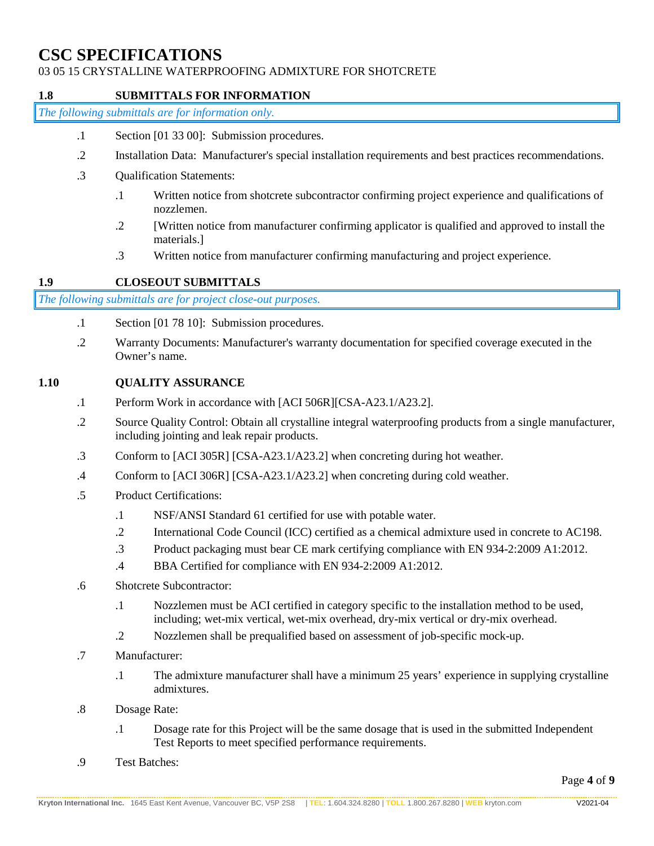# 03 05 15 CRYSTALLINE WATERPROOFING ADMIXTURE FOR SHOTCRETE

### **1.8 SUBMITTALS FOR INFORMATION**

*The following submittals are for information only.*

- .1 Section [01 33 00]: Submission procedures.
- .2 Installation Data: Manufacturer's special installation requirements and best practices recommendations.
- .3 Qualification Statements:
	- .1 Written notice from shotcrete subcontractor confirming project experience and qualifications of nozzlemen.
	- .2 [Written notice from manufacturer confirming applicator is qualified and approved to install the materials.]
	- .3 Written notice from manufacturer confirming manufacturing and project experience.

### **1.9 CLOSEOUT SUBMITTALS**

*The following submittals are for project close-out purposes.*

- .1 Section [01 78 10]: Submission procedures.
- .2 Warranty Documents: Manufacturer's warranty documentation for specified coverage executed in the Owner's name.

### **1.10 QUALITY ASSURANCE**

- .1 Perform Work in accordance with [ACI 506R][CSA-A23.1/A23.2].
- .2 Source Quality Control: Obtain all crystalline integral waterproofing products from a single manufacturer, including jointing and leak repair products.
- .3 Conform to [ACI 305R] [CSA-A23.1/A23.2] when concreting during hot weather.
- .4 Conform to [ACI 306R] [CSA-A23.1/A23.2] when concreting during cold weather.
- .5 Product Certifications:
	- .1 NSF/ANSI Standard 61 certified for use with potable water.
	- .2 International Code Council (ICC) certified as a chemical admixture used in concrete to AC198.
	- .3 Product packaging must bear CE mark certifying compliance with EN 934-2:2009 A1:2012.
	- .4 BBA Certified for compliance with EN 934-2:2009 A1:2012.
- .6 Shotcrete Subcontractor:
	- .1 Nozzlemen must be ACI certified in category specific to the installation method to be used, including; wet-mix vertical, wet-mix overhead, dry-mix vertical or dry-mix overhead.
	- .2 Nozzlemen shall be prequalified based on assessment of job-specific mock-up.
- .7 Manufacturer:
	- .1 The admixture manufacturer shall have a minimum 25 years' experience in supplying crystalline admixtures.
- .8 Dosage Rate:
	- .1 Dosage rate for this Project will be the same dosage that is used in the submitted Independent Test Reports to meet specified performance requirements.
- .9 Test Batches: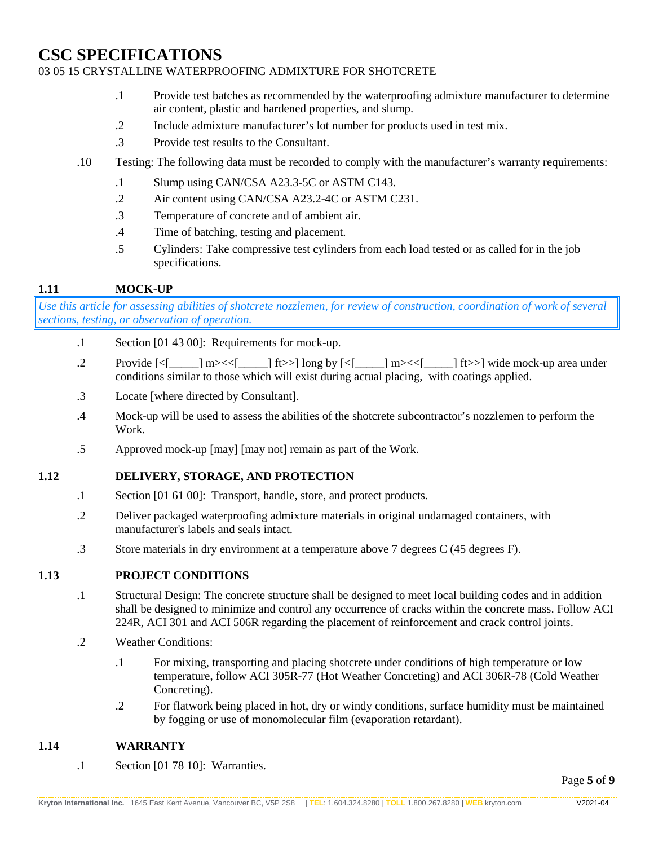## 03 05 15 CRYSTALLINE WATERPROOFING ADMIXTURE FOR SHOTCRETE

- .1 Provide test batches as recommended by the waterproofing admixture manufacturer to determine air content, plastic and hardened properties, and slump.
- .2 Include admixture manufacturer's lot number for products used in test mix.
- .3 Provide test results to the Consultant.
- .10 Testing: The following data must be recorded to comply with the manufacturer's warranty requirements:
	- .1 Slump using CAN/CSA A23.3-5C or ASTM C143.
	- .2 Air content using CAN/CSA A23.2-4C or ASTM C231.
	- .3 Temperature of concrete and of ambient air.
	- .4 Time of batching, testing and placement.
	- .5 Cylinders: Take compressive test cylinders from each load tested or as called for in the job specifications.

### **1.11 MOCK-UP**

*Use this article for assessing abilities of shotcrete nozzlemen, for review of construction, coordination of work of several sections, testing, or observation of operation.* 

- .1 Section [01 43 00]: Requirements for mock-up.
- .2 Provide [<[\_\_\_\_\_] m><<[\_\_\_\_\_] ft>>] long by [<[\_\_\_\_\_] m><<[\_\_\_\_\_] ft>>] wide mock-up area under conditions similar to those which will exist during actual placing, with coatings applied.
- .3 Locate [where directed by Consultant].
- .4 Mock-up will be used to assess the abilities of the shotcrete subcontractor's nozzlemen to perform the Work.
- .5 Approved mock-up [may] [may not] remain as part of the Work.

### **1.12 DELIVERY, STORAGE, AND PROTECTION**

- .1 Section [01 61 00]: Transport, handle, store, and protect products.
- .2 Deliver packaged waterproofing admixture materials in original undamaged containers, with manufacturer's labels and seals intact.
- .3 Store materials in dry environment at a temperature above 7 degrees C (45 degrees F).

### **1.13 PROJECT CONDITIONS**

- .1 Structural Design: The concrete structure shall be designed to meet local building codes and in addition shall be designed to minimize and control any occurrence of cracks within the concrete mass. Follow ACI 224R, ACI 301 and ACI 506R regarding the placement of reinforcement and crack control joints.
- .2 Weather Conditions:
	- .1 For mixing, transporting and placing shotcrete under conditions of high temperature or low temperature, follow ACI 305R-77 (Hot Weather Concreting) and ACI 306R-78 (Cold Weather Concreting).
	- .2 For flatwork being placed in hot, dry or windy conditions, surface humidity must be maintained by fogging or use of monomolecular film (evaporation retardant).

### **1.14 WARRANTY**

.1 Section [01 78 10]: Warranties.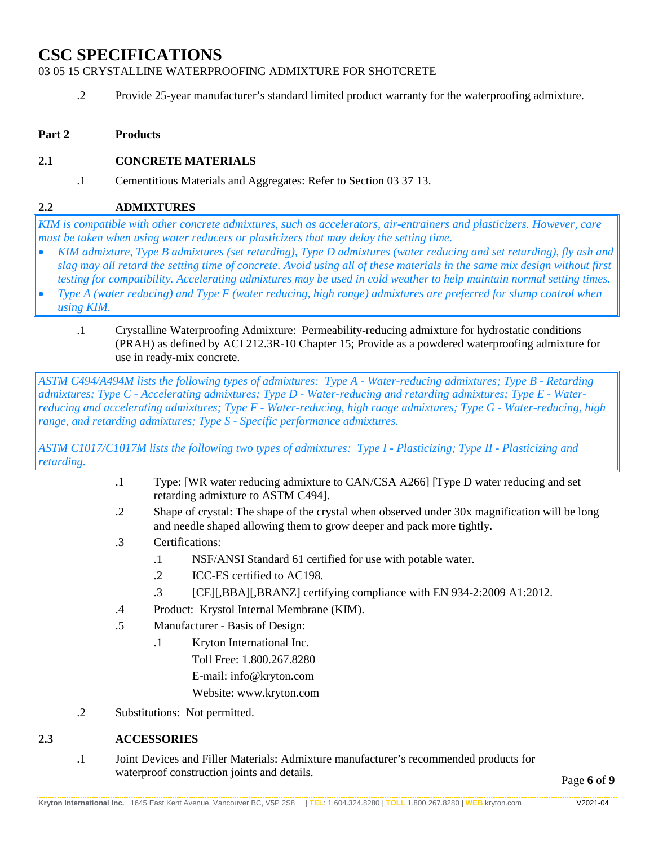03 05 15 CRYSTALLINE WATERPROOFING ADMIXTURE FOR SHOTCRETE

- .2 Provide 25-year manufacturer's standard limited product warranty for the waterproofing admixture.
- **Part 2 Products**

# **2.1 CONCRETE MATERIALS**

.1 Cementitious Materials and Aggregates: Refer to Section 03 37 13.

### **2.2 ADMIXTURES**

*KIM is compatible with other concrete admixtures, such as accelerators, air-entrainers and plasticizers. However, care must be taken when using water reducers or plasticizers that may delay the setting time.*

- *KIM admixture, Type B admixtures (set retarding), Type D admixtures (water reducing and set retarding), fly ash and slag may all retard the setting time of concrete. Avoid using all of these materials in the same mix design without first testing for compatibility. Accelerating admixtures may be used in cold weather to help maintain normal setting times.*
- *Type A (water reducing) and Type F (water reducing, high range) admixtures are preferred for slump control when using KIM.*
	- .1 Crystalline Waterproofing Admixture: Permeability-reducing admixture for hydrostatic conditions (PRAH) as defined by ACI 212.3R-10 Chapter 15; Provide as a powdered waterproofing admixture for use in ready-mix concrete.

*ASTM C494/A494M lists the following types of admixtures: Type A - Water-reducing admixtures; Type B - Retarding admixtures; Type C - Accelerating admixtures; Type D - Water-reducing and retarding admixtures; Type E - Waterreducing and accelerating admixtures; Type F - Water-reducing, high range admixtures; Type G - Water-reducing, high range, and retarding admixtures; Type S - Specific performance admixtures.* 

*ASTM C1017/C1017M lists the following two types of admixtures: Type I - Plasticizing; Type II - Plasticizing and retarding.*

- .1 Type: [WR water reducing admixture to CAN/CSA A266] [Type D water reducing and set retarding admixture to ASTM C494].
- .2 Shape of crystal: The shape of the crystal when observed under 30x magnification will be long and needle shaped allowing them to grow deeper and pack more tightly.
- .3 Certifications:
	- .1 NSF/ANSI Standard 61 certified for use with potable water.
	- .2 ICC-ES certified to AC198.
	- .3 [CE][,BBA][,BRANZ] certifying compliance with EN 934-2:2009 A1:2012.
- .4 Product: Krystol Internal Membrane (KIM).
- .5 Manufacturer Basis of Design:
	- .1 Kryton International Inc. Toll Free: 1.800.267.8280 E-mail: info@kryton.com Website: www.kryton.com
- .2 Substitutions: Not permitted.

# **2.3 ACCESSORIES**

.1 Joint Devices and Filler Materials: Admixture manufacturer's recommended products for waterproof construction joints and details.

Page **6** of **9**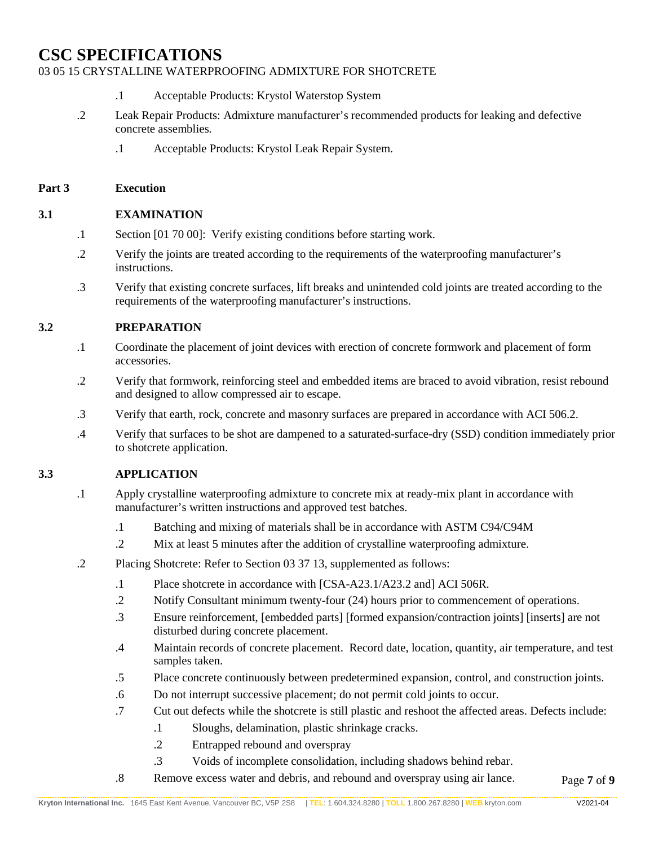### 03 05 15 CRYSTALLINE WATERPROOFING ADMIXTURE FOR SHOTCRETE

- .1 Acceptable Products: Krystol Waterstop System
- .2 Leak Repair Products: Admixture manufacturer's recommended products for leaking and defective concrete assemblies.
	- .1 Acceptable Products: Krystol Leak Repair System.

#### **Part 3 Execution**

### **3.1 EXAMINATION**

- .1 Section [01 70 00]: Verify existing conditions before starting work.
- .2 Verify the joints are treated according to the requirements of the waterproofing manufacturer's instructions.
- .3 Verify that existing concrete surfaces, lift breaks and unintended cold joints are treated according to the requirements of the waterproofing manufacturer's instructions.

### **3.2 PREPARATION**

- .1 Coordinate the placement of joint devices with erection of concrete formwork and placement of form accessories.
- .2 Verify that formwork, reinforcing steel and embedded items are braced to avoid vibration, resist rebound and designed to allow compressed air to escape.
- .3 Verify that earth, rock, concrete and masonry surfaces are prepared in accordance with ACI 506.2.
- .4 Verify that surfaces to be shot are dampened to a saturated-surface-dry (SSD) condition immediately prior to shotcrete application.

### **3.3 APPLICATION**

- .1 Apply crystalline waterproofing admixture to concrete mix at ready-mix plant in accordance with manufacturer's written instructions and approved test batches.
	- .1 Batching and mixing of materials shall be in accordance with ASTM C94/C94M
	- .2 Mix at least 5 minutes after the addition of crystalline waterproofing admixture.
- .2 Placing Shotcrete: Refer to Section 03 37 13, supplemented as follows:
	- .1 Place shotcrete in accordance with [CSA-A23.1/A23.2 and] ACI 506R.
	- .2 Notify Consultant minimum twenty-four (24) hours prior to commencement of operations.
	- .3 Ensure reinforcement, [embedded parts] [formed expansion/contraction joints] [inserts] are not disturbed during concrete placement.
	- .4 Maintain records of concrete placement. Record date, location, quantity, air temperature, and test samples taken.
	- .5 Place concrete continuously between predetermined expansion, control, and construction joints.
	- .6 Do not interrupt successive placement; do not permit cold joints to occur.
	- .7 Cut out defects while the shotcrete is still plastic and reshoot the affected areas. Defects include:
		- .1 Sloughs, delamination, plastic shrinkage cracks.
		- .2 Entrapped rebound and overspray
		- .3 Voids of incomplete consolidation, including shadows behind rebar.
	- Page **7** of **9** .8 Remove excess water and debris, and rebound and overspray using air lance.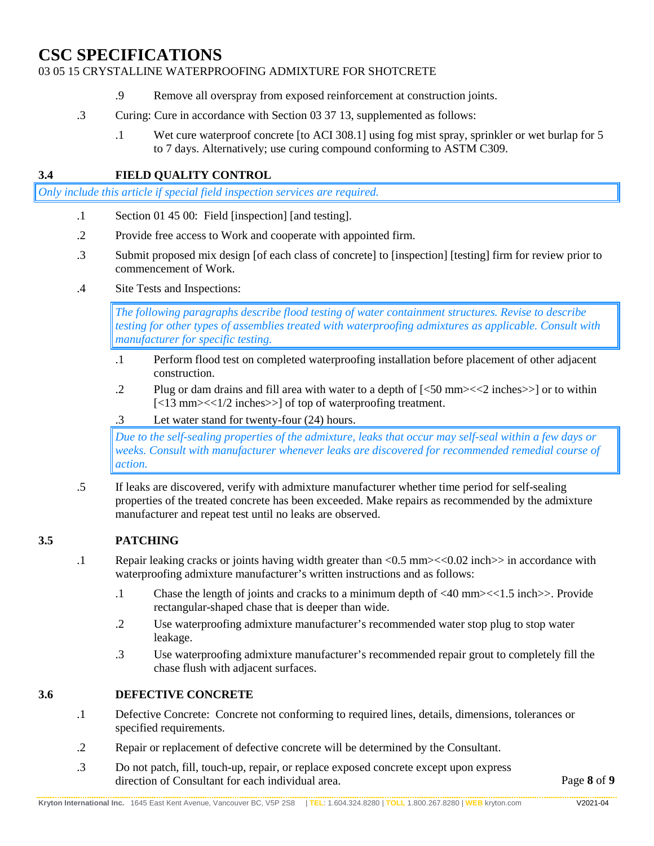### 03 05 15 CRYSTALLINE WATERPROOFING ADMIXTURE FOR SHOTCRETE

- .9 Remove all overspray from exposed reinforcement at construction joints.
- .3 Curing: Cure in accordance with Section 03 37 13, supplemented as follows:
	- .1 Wet cure waterproof concrete [to ACI 308.1] using fog mist spray, sprinkler or wet burlap for 5 to 7 days. Alternatively; use curing compound conforming to ASTM C309.

# **3.4 FIELD QUALITY CONTROL**

*Only include this article if special field inspection services are required.*

- .1 Section 01 45 00: Field [inspection] [and testing].
- .2 Provide free access to Work and cooperate with appointed firm.
- .3 Submit proposed mix design [of each class of concrete] to [inspection] [testing] firm for review prior to commencement of Work.
- .4 Site Tests and Inspections:

*The following paragraphs describe flood testing of water containment structures. Revise to describe testing for other types of assemblies treated with waterproofing admixtures as applicable. Consult with manufacturer for specific testing.*

- .1 Perform flood test on completed waterproofing installation before placement of other adjacent construction.
- .2 Plug or dam drains and fill area with water to a depth of [<50 mm><<2 inches>>] or to within [<13 mm><<1/2 inches>>] of top of waterproofing treatment.
- .3 Let water stand for twenty-four (24) hours.

*Due to the self-sealing properties of the admixture, leaks that occur may self-seal within a few days or weeks. Consult with manufacturer whenever leaks are discovered for recommended remedial course of action.*

.5 If leaks are discovered, verify with admixture manufacturer whether time period for self-sealing properties of the treated concrete has been exceeded. Make repairs as recommended by the admixture manufacturer and repeat test until no leaks are observed.

# **3.5 PATCHING**

- .1 Repair leaking cracks or joints having width greater than  $\langle 0.5 \text{ mm}\rangle \langle \langle 0.02 \text{ inch}\rangle \rangle$  in accordance with waterproofing admixture manufacturer's written instructions and as follows:
	- .1 Chase the length of joints and cracks to a minimum depth of <40 mm><<1.5 inch>>. Provide rectangular-shaped chase that is deeper than wide.
	- .2 Use waterproofing admixture manufacturer's recommended water stop plug to stop water leakage.
	- .3 Use waterproofing admixture manufacturer's recommended repair grout to completely fill the chase flush with adjacent surfaces.

# **3.6 DEFECTIVE CONCRETE**

- .1 Defective Concrete: Concrete not conforming to required lines, details, dimensions, tolerances or specified requirements.
- .2 Repair or replacement of defective concrete will be determined by the Consultant.
- .3 Do not patch, fill, touch-up, repair, or replace exposed concrete except upon express direction of Consultant for each individual area.